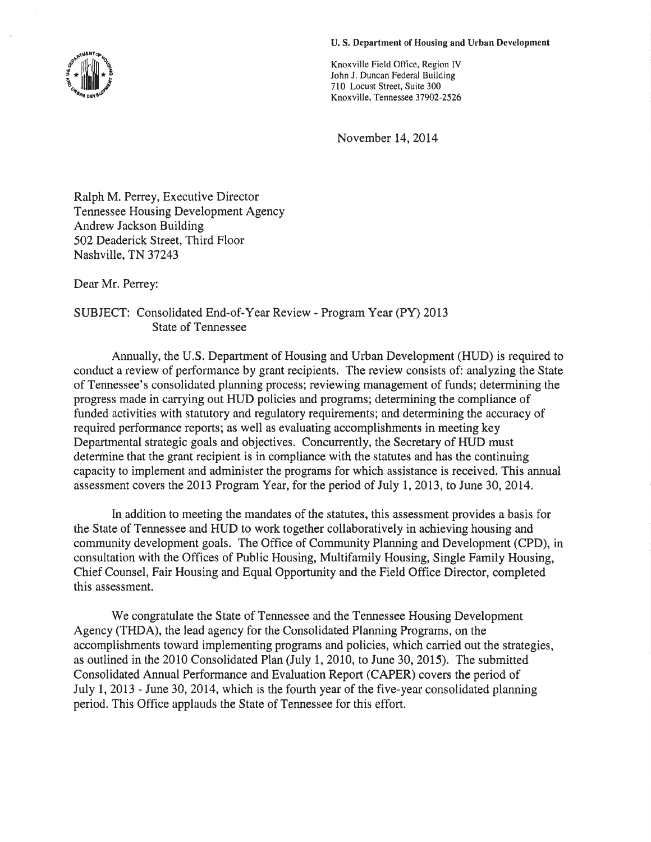#### U. S. Department of Housing and Urban Development

Knoxville Field Office, Region lV John J. Duncan Federal Building 710 Locust Street, Suite 300 Knoxville, Tennessee 37902-2526

November 14,2014

Ralph M. Perrey, Executive Director Tennessee Housing Development Agency Andrew Jackson Building 502 Deaderick Street, Third Floor Nashville, TN 37243

Dear Mr. Perrey:

# SUBJECT: Consolidated End-of-Year Review - Program Year (PY) 2013 State of Tennessee

Annually, the U.S. Department of Housing and Urban Development (HUD) is required to conduct a review of performance by grant recipients. The review consists of: analyzing the State of Tennessee's consolidated planning process; reviewing management of funds; determining the progress made in carrying out HUD policies and programs; determining the compliance of funded activities with statutory and regulatory requirements; and determining the accuracy of required performance reports; as well as evaluating accomplishments in meeting key Departmental strategic goals and objectives. Concurrently, the Secretary of HUD must determine that the grant recipient is in compliance with the statutes and has the continuing capacity to implement and administer the programs for which assistance is received. This annual assessment covers the 2013 Program Year, for the period of July I,2013, to June 30,2014.

In addition to meeting the mandates of the statutes, this assessment provides a basis for the State of Tennessee and HUD to work together collaboratively in achieving housing and community development goals. The Office of Community Planning and Development (CPD), in consultation with the Offices of Public Housing, Multifamily Housing, Single Family Housing, Chief Counsel, Fair Housing and Equal Opportunity and the Field Office Director, completed this assessment.

We congratulate the State of Tennessee and the Tennessee Housing Development Agency (THDA), the lead agency for the Consolidated Planning Programs, on the accomplishments toward implementing programs and policies, which carried out the strategies, as outlined in the 2010 Consolidated Plan (July I,2010, to June 30, 2015). The submitted Consolidated Annual Performance and Evaluation Report (CAPER) covers the period of July 1, 2013 - June 30, 2014, which is the fourth year of the five-year consolidated planning period. This Office applauds the State of Tennessee for this effort.

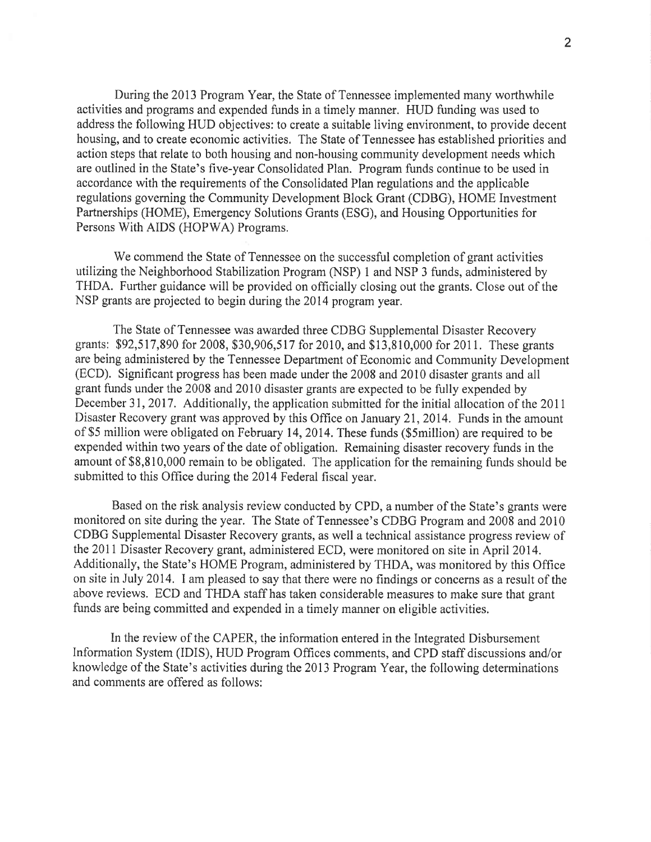During the 2013 Program Year, the State of Tennessee implemented many worthwhile activities and programs and expended funds in a timely manner. HUD funding was used to address the following HUD objectives: to create a suitable living environment, to provide decent housing, and to create economic activities. The State of Tennessee has established priorities and action steps that relate to both housing and non-housing community development needs which are outlined in the State's five-year Consolidated Plan. Program funds continue to be used in accordance with the requirements of the Consolidated Plan regulations and the applicable regulations governing the Community Development Block Grant (CDBG), HOME Investment Partnerships (HOME), Emergency Solutions Grants (ESG), and Housing Opportunities for Persons With AIDS (HOPWA) Programs,

We commend the State of Tennessee on the successful completion of grant activities utilizing the Neighborhood Stabilization Program (NSP) 1 and NSP 3 funds, administered by THDA. Further guidance will be provided on officially closing out the grants. Close out of the NSP grants are projected to begin during the 2014 program year.

The State of Tennessee was awarded three CDBG Supplemental Disaster Recovery grants: 592,517,890 for 2008, \$30,906,517 for 2010, and \$13,810,000 for2011. These grants are being administered by the Tennessee Department of Economic and Community Development (ECD). Significant progress has been made under the 2008 and 2010 disaster grants and all grant funds under the 2008 and 2010 disaster grants are expected to be fully expended by December 31, 2017. Additionally, the application submitted for the initial allocation of the 2011 Disaster Recovery grant was approved by this Office on January 21, 2014. Funds in the amount of \$5 million were obligated on February 14,2014. These funds (\$5million) are required to be expended within two years of the date of obligation. Remaining disaster recovery funds in the amount of \$8,810,000 remain to be obligated. The application for the remaining funds should be submitted to this Office during the 2014 Federal fiscal year.

Based on the risk analysis review conducted by CPD, a number of the State's grants were monitored on site during the year. The State of Tennessee's CDBG Program and 2008 and 2010 CDBG Supplemental Disaster Recovery grants, as well a technical assistance progress review of the 201I Disaster Recovery grant, administered ECD, were monitored on site in April2014. Additionally, the State's HOME Program, administered by THDA, was monitored by this Office on site in July 2014. I am pleased to say that there were no fîndings or concerns as a result of the above reviews. ECD and THDA staff has taken considerable measures to make sure that grant funds are being committed and expended in a timely manner on eligible activities,

In the review of the CAPER, the information entered in the Integrated Disbursement Information System (IDIS), HUD Program Offices comments, and CPD staff discussions and/or knowledge of the State's activities during the 2013 Program Year, the following determinations and comments are offered as follows: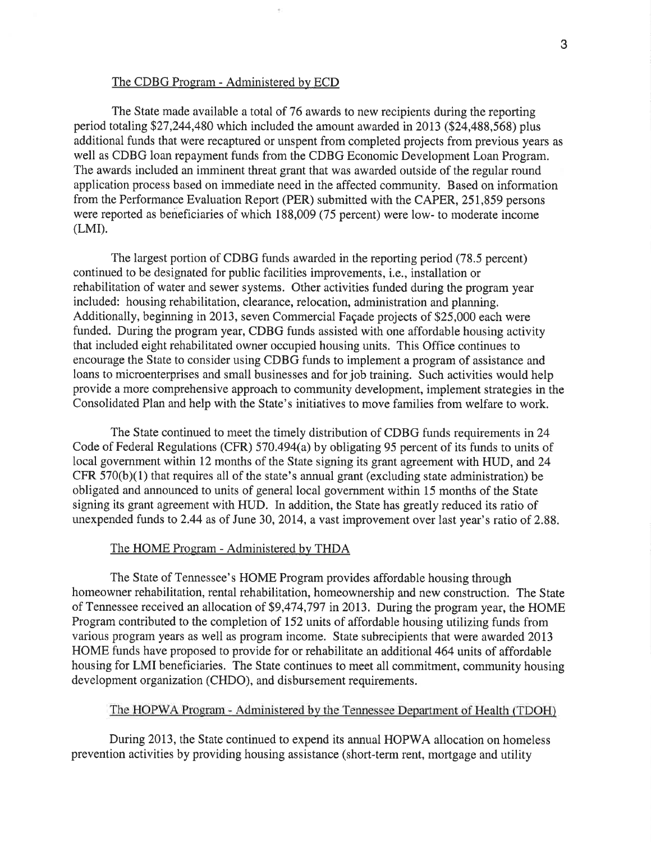### The CDBG Program - Administered by ECD

The State made available a total of 76 awards to new recipients during the reporting period totaling \$27,244,480 which included the amount awarded in2013 (\$24,488,568) plus additional funds that were recaptured or unspent from completed projects from previous years as well as CDBG loan repayment funds from the CDBG Economic Development Loan Program. The awards included an imminent threat grant that was awarded outside of the regular round application process based on immediate need in the affected community. Based on information from the Performance Evaluation Report (PER) submitted with the CAPER, 25I,859 persons were reported as beneficiaries of which 188,009 (75 percent) were low- to moderate income  $(LMI)$ .

The largest portion of CDBG funds awarded in the reporting period (78.5 percent) continued to be designated for public facilities improvements, i.e., installation or rehabilitation of water and sewer systems. Other activities funded during the program year included: housing rehabilitation, clearance, relocation, administration and planning. Additionally, beginning in 2013, seven Commercial Façade projects of \$25,000 each were funded. During the program year, CDBG funds assisted with one affordable housing activity that included eight rehabilitated owner occupied housing units. This Office continues to encourage the State to consider using CDBG funds to implement a program of assistance and loans to microenterprises and small businesses and for job training. Such activities would help provide a more comprehensive approach to community development, implement strategies in the Consolidated Plan and help with the State's initiatives to move families from welfare to work.

The State continued to meet the timely distribution of CDBG funds requirements in24 Code of Federal Regulations (CFR) 570.494(a) by obligating 95 percent of its funds to units of local government within 12 months of the State signing its grant agreement with HUD, and 24  $CFR 570(b)(1)$  that requires all of the state's annual grant (excluding state administration) be obligated and announced to units of general local government within 15 months of the State signing its grant agreement with HUD. In addition, the State has greatly reduced its ratio of unexpended funds to 2.44 as of June 30, 2014, a vast improvement over last year's ratio of 2.88.

#### The HOME Program - Administered by THDA

The State of Tennessee's HOME Program provides affordable housing through homeowner rehabilitation, rental rehabilitation, homeownership and new construction. The State of Tennessee received an allocation of \$9,474,797 in20l3. During the program year, the HOME Program contributed to the completion of I52 units of affordable housing utilizing funds from various program years as well as program income. State subrecipients that were awarded 2013 HOME funds have proposed to provide for or rehabilitate an additional 464 units of affordable housing for LMI beneficiaries. The State continues to meet all commitment, community housing development organization (CHDO), and disburs ement requirements.

## The HOPWA Program - Administered by the Tennessee Department of Health (TDOH)

During 2013, the State continued to expend its annual HOPWA allocation on homeless prevention activities by providing housing assistance (short-term rent, mortgage and utility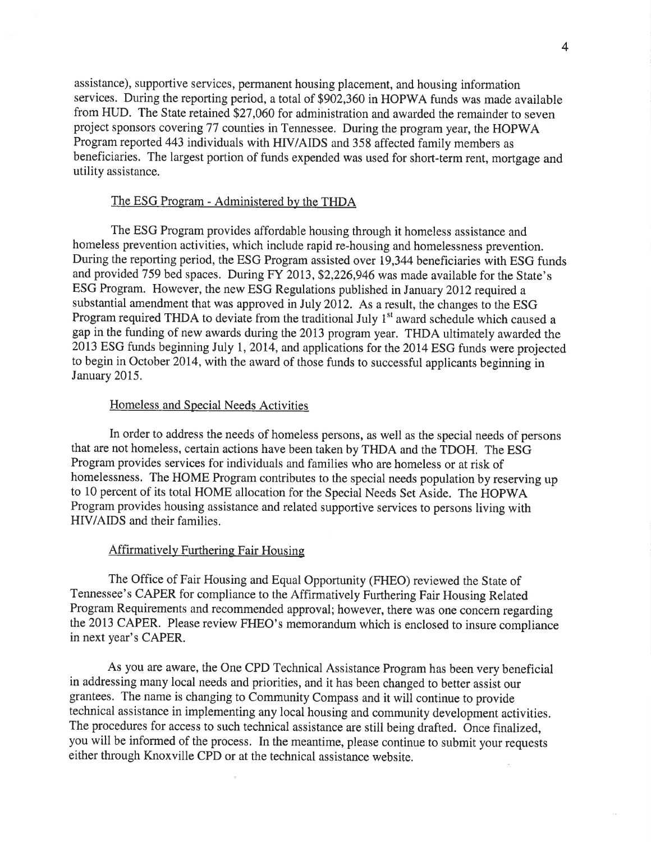assistance), supportive services, permanent housing placement, and housing information services. During the reporting period, a total of \$902,360 in HOPWA funds was made available from HUD. The State retained \$27,060 for administration and awarded the remainder to seven project sponsors covering 77 counties in Tennessee. During the program year, the HOPWA Program reported 443 individuals with HIV/AIDS and 358 affected family members as beneficiaries. The largest portion of funds expended was used for short-term rent, mortgage and utility assistance.

# The ESG Program - Administered by the THDA

The ESG Program provides affordable housing through it homeless assistance and homeless prevention activities, which include rapid re-housing and homelessness prevention. During the reporting period, the ESG Program assisted over 19,344 beneficiaries with ESG funds and provided 759 bed spaces. During FY 2013, \$2,226,946 was made available for the State's ESG Program. However, the new ESG Regulations published in January 2012 required a substantial amendment that was approved in July 2012. As a result, the changes to the ESG Program required THDA to deviate from the traditional July  $1<sup>st</sup>$  award schedule which caused a gap in the funding of new awards during the 2013 program year. THDA ultimately awarded the 2013 ESG funds beginning July 1, 2014, and applications for the 2014 ESG funds were projected to begin in October 2014, with the award of those funds to successful applicants beginning in January 2015.

### Homeless and Special Needs Activities

In order to address the needs of homeless persons, as well as the special needs of persons that are not homeless, certain actions have been taken by THDA and the TDOH. The ESG Program provides services for individuals and families who are homeless or at risk of homelessness. The HOME Program contributes to the special needs population by reserving up to 10 percent of its total HOME allocation for the Special Needs Set Aside. The HOPWA Program provides housing assistance and related supportive services to persons living with HIV/AIDS and their families.

#### Affirmatively Furthering Fair Housing

The Office of Fair Housing and Equal Opportunity (FHEO) reviewed the State of Tennessee's CAPER for compliance to the Affirmatively Furthering Fair Housing Related Program Requirements and recommended approval; however, there was one concern regarding the 2013 CAPER. Please review FHEO's memorandum which is enclosed to insure compliance in next year's CAPER.

As you are aware, the One CPD Technical Assistance Program has been very beneficial in addressing many local needs and priorities, and it has been changed to better assist our grantees. The name is changing to Community Compass and it will continue to provide technical assistance in implementing any local housing and community development activities. The procedures for access to such technical assistance are still being drafted. Once finalized, you will be informed of the process. In the meantime, please continue to submit your requests either through Knoxville cPD or at the technical assistance website.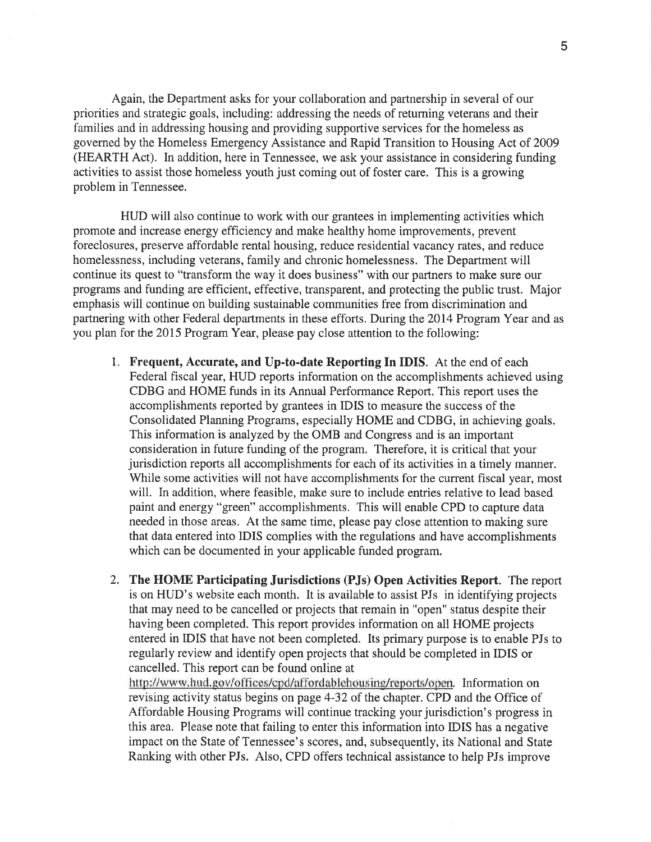Again, the Department asks for your collaboration and partnership in several of our priorities and strategic goals, including: addressing the needs of retuming veterans and their families and in addressing housing and providing supportive services for the homeless as governed by the Homeless Emergency Assistance and Rapid Transition to Housing Act of 2009 (HEARTH Act). In addition, here in Tennessee, we ask your assistance in considering funding activities to assist those homeless youth just coming out of foster care. This is a growing problem in Tennessee.

HUD will also continue to work with our grantees in implementing activities which promote and increase energy efficiency and make healthy home improvements, prevent foreclosures, preserve affordable rental housing, reduce residential vacancy rates, and reduce homelessness, including veterans, family and chronic homelessness. The Department will continue its quest to "transform the way it does business" with our partners to make sure our programs and funding are efficient, effective, transparent, and protecting the public trust. Major emphasis will continue on building sustainable communities free from discrimination and partnering with other Federal departments in these efforts. During the 2014 Program Year and as you plan for the 2015 Program Year, please pay close attention to the following:

- 1. Frequent, Accurate, and Up-to-date Reporting In IDIS. At the end of each Federal fiscal year, HUD reports information on the accomplishments achieved using CDBG and HOME funds in its Annual Performance Report. This report uses the accomplishments reported by grantees in IDIS to measure the success of the Consolidated Planning Programs, especially HOME and CDBG, in achieving goals. This information is analyzed by the OMB and Congress and is an important consideration in future funding of the program. Therefore, it is critical that your jurisdiction reports all accomplishments for each of its activities in a timely manner. While some activities will not have accomplishments for the current fiscal year, most will. In addition, where feasible, make sure to include entries relative to lead based paint and energy "green" accomplishments. This will enable CPD to capture data needed in those areas. At the same time, please pay close attention to making sure that data entered into IDIS complies with the regulations and have accomplishments which can be documented in your applicable funded program.
- 2. The HOME Participating Jurisdictions (PJs) Open Activities Report. The report is on HUD's website each month. It is available to assist PJs in identifying projects that may need to be cancelled or projects that remain in "open" status despite their having been completed. This report provides information on all HOME projects entered in IDIS that have not been completed. Its primary purpose is to enable PJs to regularly review and identify open projects that should be completed in IDIS or cancelled. This report can be found online at

http://www.hud.gov/offices/cpd/affordablehousing/reports/open. Information on revising activity status begins on page 4-32 of the chapter. CPD and the Office of Affordable Housing Programs will continue tracking your jurisdiction's progress in this area. Please note that failing to enter this information into IDIS has a negative impact on the State of Tennessee's scores, and, subsequently, its National and State Ranking with other PJs. Also, CPD offers technical assistance to help PJs improve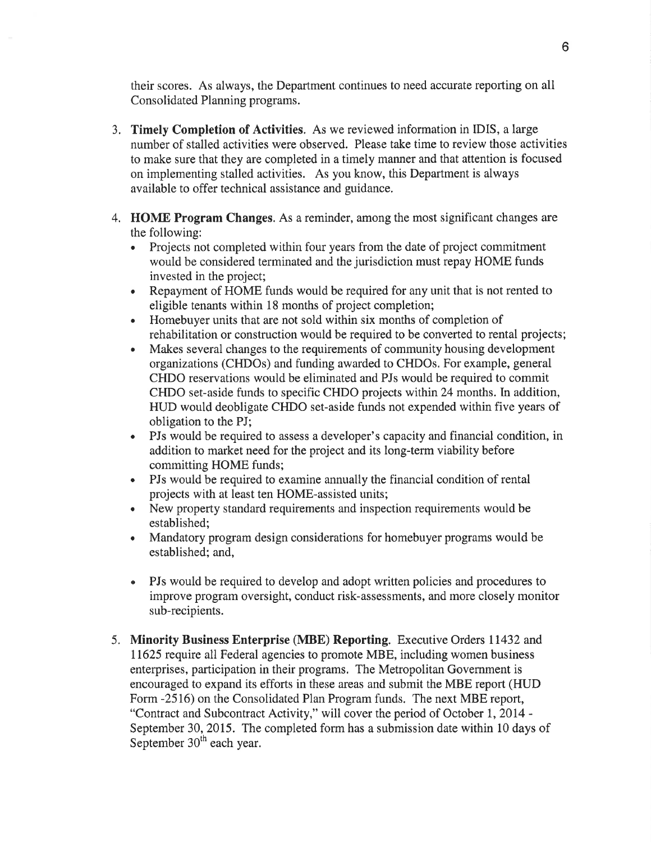their scores. As always, the Department continues to need accurate reporting on all Consolidated Planning programs.

- 3, Timely Completion of Activities. As we reviewed information in IDIS, a large number of stalled activities were observed. Please take time to review those activities to make sure that they are completed in a timely manner and that attention is focused on implementing stalled activities. As you know, this Department is always available to offer technical assistance and guidance,
- 4. HOME Program Changes. As a reminder, among the most significant changes are the following:
	- . Projects not completed within four years from the date of project commitment would be considered terminated and the jurisdiction must repay HOME funds invested in the project;
	- . Repayment of HOME funds would be required for any unit that is not rented to eligible tenants within l8 months of project completion;
	- . Homebuyer units that are not sold within six months of completion of rehabilitation or construction would be required to be converted to rental projects;
	- . Makes several changes to the requirements of community housing development organizations (CHDOs) and funding awarded to CHDOs. For example, general CHDO reservations would be eliminated and PJs would be required to commit CHDO set-aside funds to specific CHDO projects within 24 months. In addition, HUD would deobligate CHDO set-aside funds not expended within five years of obligation to the PJ;
	- . PJs would be required to assess a developer's capacity and financial condition, in addition to market need for the project and its long-term viability before committing HOME funds;
	- . PJs would be required to examine annually the financial condition of rental projects with at least ten HOME-assisted units;
	- . New property standard requirements and inspection requirements would be established;
	- . Mandatory program design considerations for homebuyer programs would be established; and,
	- PJs would be required to develop and adopt written policies and procedures to  $\bullet$ improve program oversight, conduct risk-assessments, and more closely monitor sub-recipients.
- 5. Minority Business Enterprise (MBE) Reporting. Executive Orders 11432 and 11625 require all Federal agencies to promote MBE, including women business enterprises, participation in their programs. The Metropolitan Government is encouraged to expand its efforts in these areas and submit the MBE report (HUD Form -2516) on the Consolidated Plan Program funds. The next MBE report, "Contract and Subcontract Activity," will cover the period of October 1,2014 - September 30,2015. The completed form has a submission date within l0 days of September 30<sup>th</sup> each year.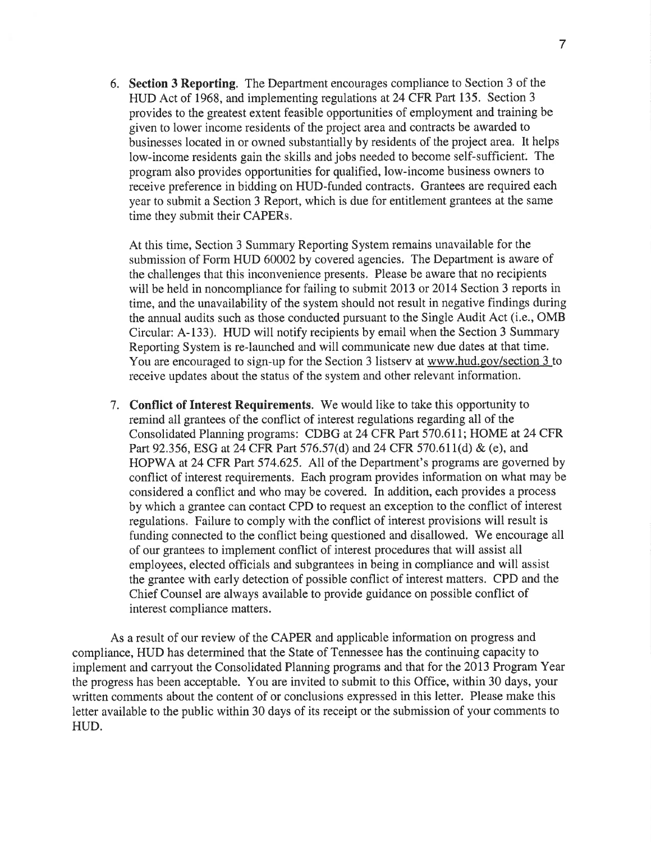6. Section 3 Reporting. The Department encourages compliance to Section 3 of the HUD Act of 1968, and implementing regulations at 24 CFR Part 135. Section <sup>3</sup> provides to the greatest extent feasible opportunities of employment and training be given to lower income residents of the project area and contracts be awarded to businesses located in or owned substantially by residents of the project area. It helps low-income residents gain the skills and jobs needed to become self-sufficient. The program also provides opportunities for qualified, low-income business owners to receive preference in bidding on HUD-funded contracts. Grantees are required each year to submit a Section 3 Report, which is due for entitlement grantees at the same time they submit their CAPERs.

At this time, Section 3 Summary Reporting System remains unavailable for the submission of Form HUD 60002 by covered agencies. The Department is aware of the challenges that this inconvenience presents. Please be aware that no recipients will be held in noncompliance for failing to submit 2013 or 2014 Section 3 reports in time, and the unavailability of the system should not result in negative findings during the annual audits such as those conducted pursuant to the Single Audit Act (i.e., OMB Circular: A-133). HUD will notify recipients by email when the Section 3 Summary Reporting System is re-launched and will communicate new due dates at that time. You are encouraged to sign-up for the Section 3 listserv at www.hud.gov/section 3 to receive updates about the status of the system and other relevant information.

<sup>7</sup>. Conflict of Interest Requirements. We would like to take this opportunity to remind all grantees of the conflict of interest regulations regarding all of the Consolidated Planning programs: CDBG at 24 CFR Part 570.611; HOME at 24 CFR Part92.356, ESG at 24 CFR Part 576.57 (d) and 24 CFR 570.611(d) & (e), and HOPWA at 24 CFR Part 574,625. All of the Department's programs are governed by conflict of interest requirements. Each program provides information on what may be considered a conflict and who may be covered. In addition, each provides a process by which a grantee can contact CPD to request an exception to the conflict of interest regulations. Failure to comply with the conflict of interest provisions will result is funding connected to the conflict being questioned and disallowed. We encourage all of our grantees to implement conflict of interest procedures that will assist all employees, elected officials and subgrantees in being in compliance and will assist the grantee with early detection of possible conflict of interest matters. CPD and the Chief Counsel are always available to provide guidance on possible conflict of interest compliance matters.

As a result of our review of the CAPER and applicable information on progress and compliance, HUD has determined that the State of Tennessee has the continuing capacity to implement and caryout the Consolidated Planning programs and that for the 2013 Program Year the progress has been acceptable. You are invited to submit to this Office, within 30 days, your written comments about the content of or conclusions expressed in this letter. Please make this letter available to the public within 30 days of its receipt or the submission of your comments to HUD.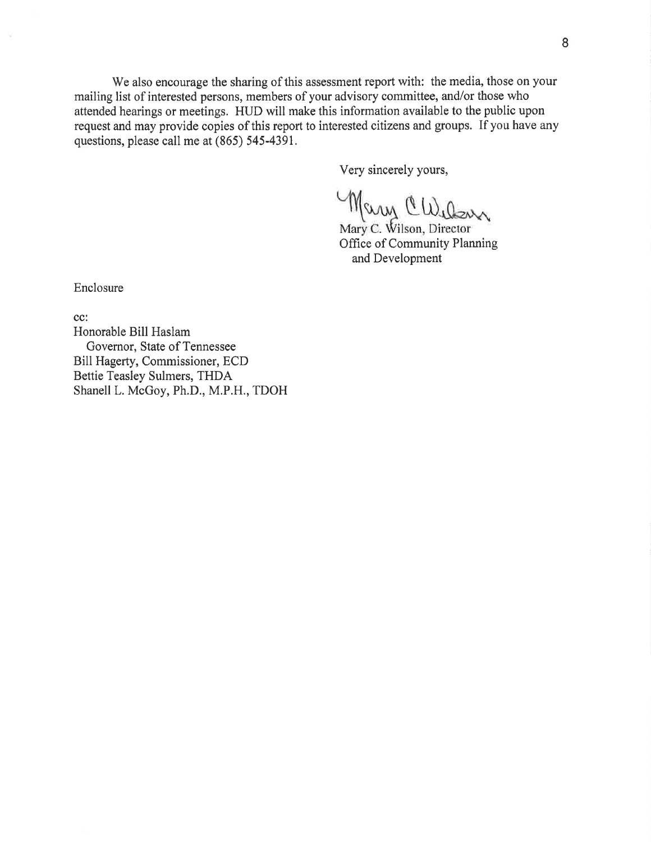We also encourage the sharing of this assessment report with: the media, those on your mailing list of interested persons, members of your advisory committee, and/or those who attended hearings or meetings. HUD will make this information available to the public upon request and may provide copies of this report to interested citizens and groups. If you have any questions, please call me at (865) 545-4391,

Very sincerely yours,

Offrce of Community Planning

and Development

Enclosure

cc:

Honorable Bill Haslam Govemor, State of Tennessee Bill Hagerty, Commissioner, ECD Bettie Teasley Sulmers, THDA Shanell L. McGoy, Ph.D., M.P.H., TDOH